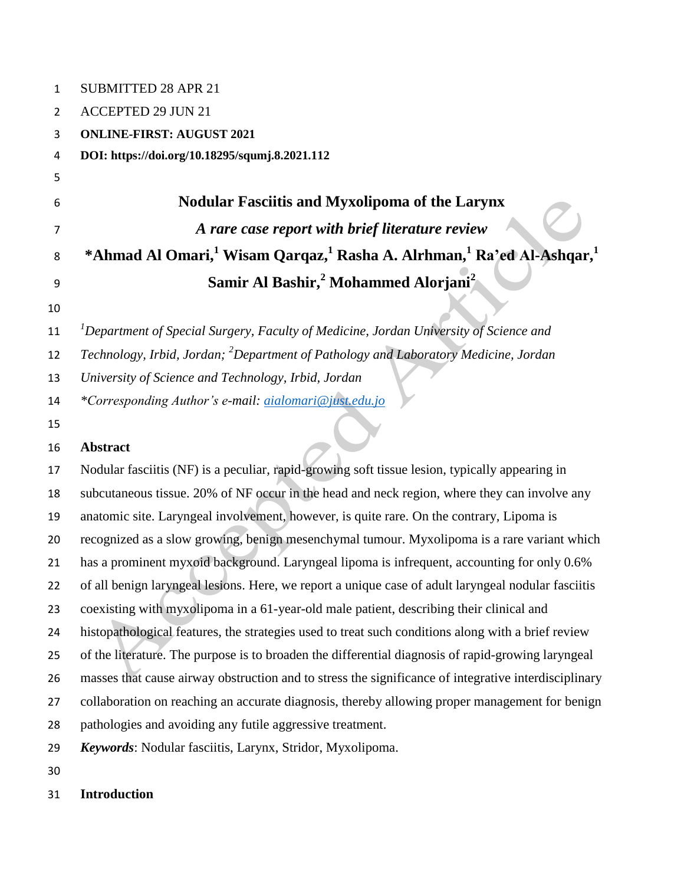| 1  | <b>SUBMITTED 28 APR 21</b>                                                                                            |  |  |
|----|-----------------------------------------------------------------------------------------------------------------------|--|--|
| 2  | <b>ACCEPTED 29 JUN 21</b>                                                                                             |  |  |
| 3  | <b>ONLINE-FIRST: AUGUST 2021</b>                                                                                      |  |  |
| 4  | DOI: https://doi.org/10.18295/squmj.8.2021.112                                                                        |  |  |
| 5  |                                                                                                                       |  |  |
| 6  | <b>Nodular Fasciitis and Myxolipoma of the Larynx</b>                                                                 |  |  |
| 7  | A rare case report with brief literature review                                                                       |  |  |
| 8  | *Ahmad Al Omari, <sup>1</sup> Wisam Qarqaz, <sup>1</sup> Rasha A. Alrhman, <sup>1</sup> Ra'ed Al-Ashqar, <sup>1</sup> |  |  |
| 9  | Samir Al Bashir, <sup>2</sup> Mohammed Alorjani <sup>2</sup>                                                          |  |  |
| 10 |                                                                                                                       |  |  |
| 11 | ${}^{1}$ Department of Special Surgery, Faculty of Medicine, Jordan University of Science and                         |  |  |
| 12 | Technology, Irbid, Jordan; <sup>2</sup> Department of Pathology and Laboratory Medicine, Jordan                       |  |  |
| 13 | University of Science and Technology, Irbid, Jordan                                                                   |  |  |
| 14 | *Corresponding Author's e-mail: <i>aialomari@just.edu.jo</i>                                                          |  |  |
| 15 |                                                                                                                       |  |  |
| 16 | <b>Abstract</b>                                                                                                       |  |  |
| 17 | Nodular fasciitis (NF) is a peculiar, rapid-growing soft tissue lesion, typically appearing in                        |  |  |
| 18 | subcutaneous tissue. 20% of NF occur in the head and neck region, where they can involve any                          |  |  |
| 19 | anatomic site. Laryngeal involvement, however, is quite rare. On the contrary, Lipoma is                              |  |  |
| 20 | recognized as a slow growing, benign mesenchymal tumour. Myxolipoma is a rare variant which                           |  |  |
| 21 | has a prominent myxoid background. Laryngeal lipoma is infrequent, accounting for only 0.6%                           |  |  |
| 22 | of all benign laryngeal lesions. Here, we report a unique case of adult laryngeal nodular fasciitis                   |  |  |
| 23 | coexisting with myxolipoma in a 61-year-old male patient, describing their clinical and                               |  |  |
| 24 | histopathological features, the strategies used to treat such conditions along with a brief review                    |  |  |
| 25 | of the literature. The purpose is to broaden the differential diagnosis of rapid-growing laryngeal                    |  |  |
| 26 | masses that cause airway obstruction and to stress the significance of integrative interdisciplinary                  |  |  |
| 27 | collaboration on reaching an accurate diagnosis, thereby allowing proper management for benign                        |  |  |
| 28 | pathologies and avoiding any futile aggressive treatment.                                                             |  |  |
| 29 | Keywords: Nodular fasciitis, Larynx, Stridor, Myxolipoma.                                                             |  |  |
| 30 |                                                                                                                       |  |  |

**Introduction**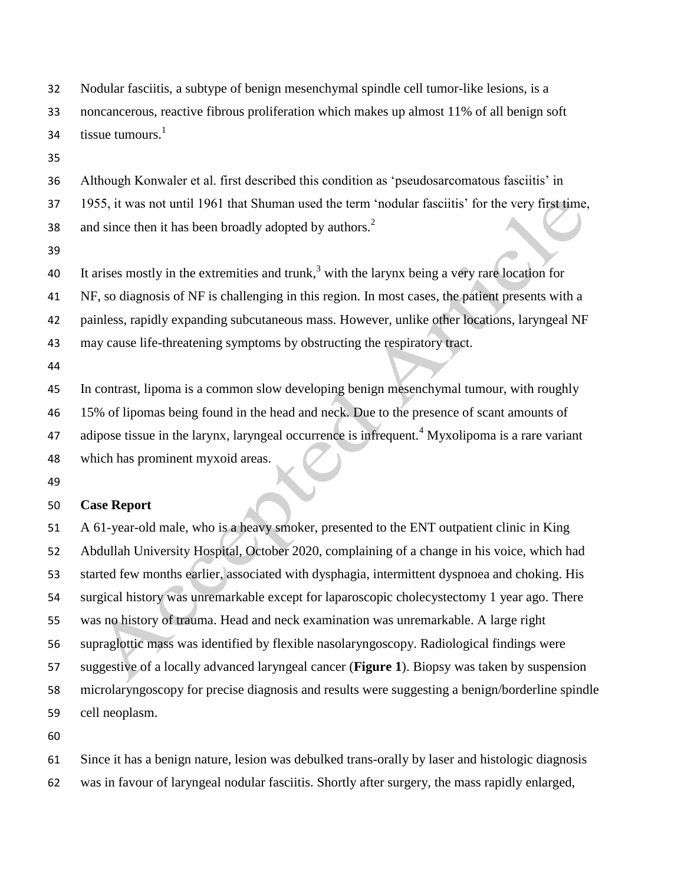Nodular fasciitis, a subtype of benign mesenchymal spindle cell tumor-like lesions, is a noncancerous, reactive fibrous proliferation which makes up almost 11% of all benign soft tissue tumours. $<sup>1</sup>$ </sup> 

Although Konwaler et al. first described this condition as 'pseudosarcomatous fasciitis' in

1955, it was not until 1961 that Shuman used the term 'nodular fasciitis' for the very first time,

and since then it has been broadly adopted by authors.<sup>2</sup> 

40 It arises mostly in the extremities and trunk,<sup>3</sup> with the larynx being a very rare location for

NF, so diagnosis of NF is challenging in this region. In most cases, the patient presents with a

painless, rapidly expanding subcutaneous mass. However, unlike other locations, laryngeal NF

may cause life-threatening symptoms by obstructing the respiratory tract.

 In contrast, lipoma is a common slow developing benign mesenchymal tumour, with roughly 15% of lipomas being found in the head and neck. Due to the presence of scant amounts of 47 adipose tissue in the larynx, laryngeal occurrence is infrequent.<sup>4</sup> Myxolipoma is a rare variant which has prominent myxoid areas.

# **Case Report**

 A 61-year-old male, who is a heavy smoker, presented to the ENT outpatient clinic in King Abdullah University Hospital, October 2020, complaining of a change in his voice, which had started few months earlier, associated with dysphagia, intermittent dyspnoea and choking. His surgical history was unremarkable except for laparoscopic cholecystectomy 1 year ago. There was no history of trauma. Head and neck examination was unremarkable. A large right supraglottic mass was identified by flexible nasolaryngoscopy. Radiological findings were suggestive of a locally advanced laryngeal cancer (**Figure 1**). Biopsy was taken by suspension microlaryngoscopy for precise diagnosis and results were suggesting a benign/borderline spindle cell neoplasm.

Since it has a benign nature, lesion was debulked trans-orally by laser and histologic diagnosis

was in favour of laryngeal nodular fasciitis. Shortly after surgery, the mass rapidly enlarged,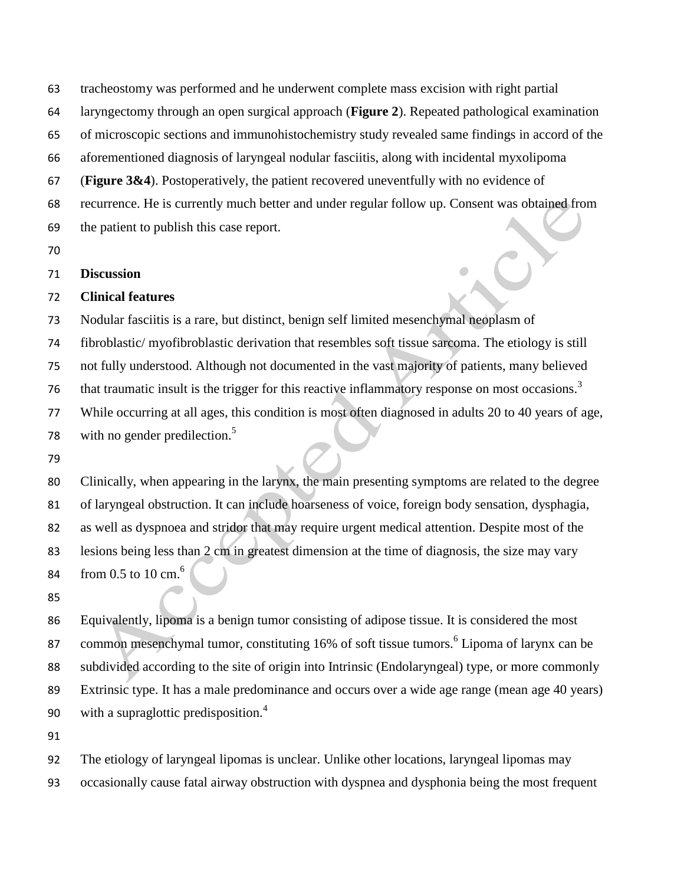tracheostomy was performed and he underwent complete mass excision with right partial

laryngectomy through an open surgical approach (**Figure 2**). Repeated pathological examination

of microscopic sections and immunohistochemistry study revealed same findings in accord of the

aforementioned diagnosis of laryngeal nodular fasciitis, along with incidental myxolipoma

(**Figure 3&4**). Postoperatively, the patient recovered uneventfully with no evidence of

recurrence. He is currently much better and under regular follow up. Consent was obtained from

the patient to publish this case report.

# **Discussion**

## **Clinical features**

Nodular fasciitis is a rare, but distinct, benign self limited mesenchymal neoplasm of

fibroblastic/ myofibroblastic derivation that resembles soft tissue sarcoma. The etiology is still

not fully understood. Although not documented in the vast majority of patients, many believed

that traumatic insult is the trigger for this reactive inflammatory response on most occasions.<sup>3</sup> 

While occurring at all ages, this condition is most often diagnosed in adults 20 to 40 years of age,

with no gender predilection.<sup>5</sup> 

 Clinically, when appearing in the larynx, the main presenting symptoms are related to the degree of laryngeal obstruction. It can include hoarseness of voice, foreign body sensation, dysphagia, as well as dyspnoea and stridor that may require urgent medical attention. Despite most of the lesions being less than 2 cm in greatest dimension at the time of diagnosis, the size may vary from  $0.5$  to  $10 \text{ cm}$ .<sup>6</sup> 

 Equivalently, lipoma is a benign tumor consisting of adipose tissue. It is considered the most 87 common mesenchymal tumor, constituting 16% of soft tissue tumors.<sup>6</sup> Lipoma of larynx can be subdivided according to the site of origin into Intrinsic (Endolaryngeal) type, or more commonly Extrinsic type. It has a male predominance and occurs over a wide age range (mean age 40 years) with a supraglottic predisposition.<sup>4</sup> 

 The etiology of laryngeal lipomas is unclear. Unlike other locations, laryngeal lipomas may occasionally cause fatal airway obstruction with dyspnea and dysphonia being the most frequent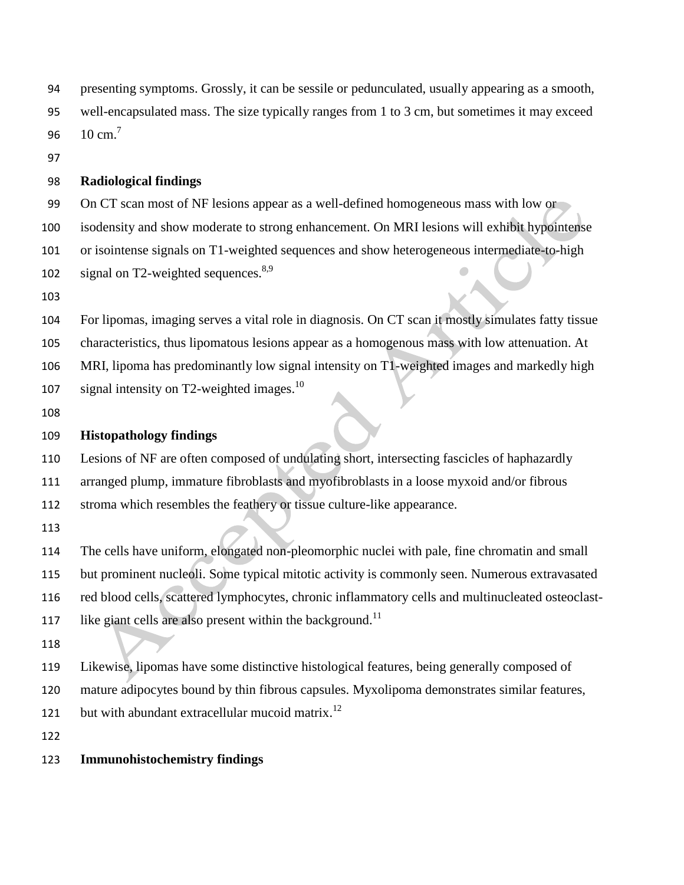presenting symptoms. Grossly, it can be sessile or pedunculated, usually appearing as a smooth, well-encapsulated mass. The size typically ranges from 1 to 3 cm, but sometimes it may exceed  $10 \text{ cm}^7$ 

#### **Radiological findings**

On CT scan most of NF lesions appear as a well-defined homogeneous mass with low or

isodensity and show moderate to strong enhancement. On MRI lesions will exhibit hypointense

or isointense signals on T1-weighted sequences and show heterogeneous intermediate-to-high

102 signal on T2-weighted sequences. $8,9$ 

For lipomas, imaging serves a vital role in diagnosis. On CT scan it mostly simulates fatty tissue

characteristics, thus lipomatous lesions appear as a homogenous mass with low attenuation. At

MRI, lipoma has predominantly low signal intensity on T1-weighted images and markedly high

- 107 signal intensity on T2-weighted images.<sup>10</sup>
- 

# **Histopathology findings**

Lesions of NF are often composed of undulating short, intersecting fascicles of haphazardly

arranged plump, immature fibroblasts and myofibroblasts in a loose myxoid and/or fibrous

stroma which resembles the feathery or tissue culture-like appearance.

The cells have uniform, elongated non-pleomorphic nuclei with pale, fine chromatin and small

but prominent nucleoli. Some typical mitotic activity is commonly seen. Numerous extravasated

red blood cells, scattered lymphocytes, chronic inflammatory cells and multinucleated osteoclast-

117 like giant cells are also present within the background.<sup>11</sup>

Likewise, lipomas have some distinctive histological features, being generally composed of

mature adipocytes bound by thin fibrous capsules. Myxolipoma demonstrates similar features,

121 but with abundant extracellular mucoid matrix.<sup>12</sup>

# **Immunohistochemistry findings**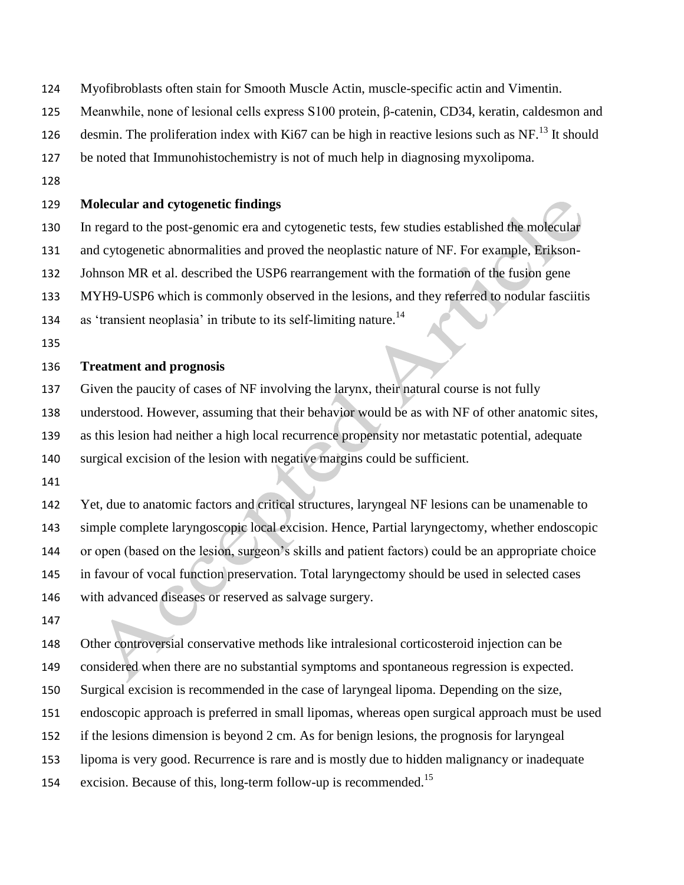- Myofibroblasts often stain for Smooth Muscle Actin, muscle-specific actin and Vimentin.
- Meanwhile, none of lesional cells express S100 protein, β-catenin, CD34, keratin, caldesmon and
- 126 desmin. The proliferation index with Ki67 can be high in reactive lesions such as NF.<sup>13</sup> It should
- be noted that Immunohistochemistry is not of much help in diagnosing myxolipoma.
- 

#### **Molecular and cytogenetic findings**

- In regard to the post-genomic era and cytogenetic tests, few studies established the molecular
- and cytogenetic abnormalities and proved the neoplastic nature of NF. For example, Erikson-
- Johnson MR et al. described the USP6 rearrangement with the formation of the fusion gene
- MYH9-USP6 which is commonly observed in the lesions, and they referred to nodular fasciitis
- 134 as 'transient neoplasia' in tribute to its self-limiting nature.<sup>14</sup>
- 

# **Treatment and prognosis**

- Given the paucity of cases of NF involving the larynx, their natural course is not fully
- understood. However, assuming that their behavior would be as with NF of other anatomic sites,
- as this lesion had neither a high local recurrence propensity nor metastatic potential, adequate
- surgical excision of the lesion with negative margins could be sufficient.
- 
- Yet, due to anatomic factors and critical structures, laryngeal NF lesions can be unamenable to simple complete laryngoscopic local excision. Hence, Partial laryngectomy, whether endoscopic or open (based on the lesion, surgeon's skills and patient factors) could be an appropriate choice in favour of vocal function preservation. Total laryngectomy should be used in selected cases with advanced diseases or reserved as salvage surgery.
- 

Other controversial conservative methods like intralesional corticosteroid injection can be

- considered when there are no substantial symptoms and spontaneous regression is expected.
- Surgical excision is recommended in the case of laryngeal lipoma. Depending on the size,
- endoscopic approach is preferred in small lipomas, whereas open surgical approach must be used
- if the lesions dimension is beyond 2 cm. As for benign lesions, the prognosis for laryngeal
- lipoma is very good. Recurrence is rare and is mostly due to hidden malignancy or inadequate
- 154 excision. Because of this, long-term follow-up is recommended.<sup>15</sup>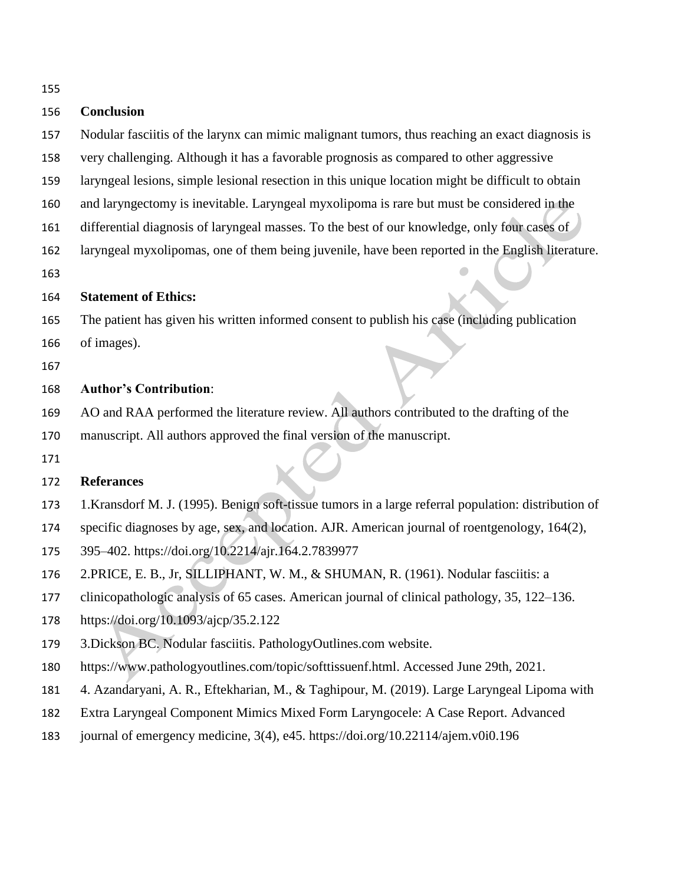| ۰.<br>۰.<br>w | I<br>۰,<br>w |
|---------------|--------------|

## **Conclusion**

- Nodular fasciitis of the larynx can mimic malignant tumors, thus reaching an exact diagnosis is
- very challenging. Although it has a favorable prognosis as compared to other aggressive
- laryngeal lesions, simple lesional resection in this unique location might be difficult to obtain
- and laryngectomy is inevitable. Laryngeal myxolipoma is rare but must be considered in the
- 161 differential diagnosis of laryngeal masses. To the best of our knowledge, only four cases of
- laryngeal myxolipomas, one of them being juvenile, have been reported in the English literature.
- 

#### **Statement of Ethics:**

The patient has given his written informed consent to publish his case (including publication

- of images).
- 

# **Author's Contribution**:

- AO and RAA performed the literature review. All authors contributed to the drafting of the
- manuscript. All authors approved the final version of the manuscript.
- 

# **Referances**

- 1.Kransdorf M. J. (1995). Benign soft-tissue tumors in a large referral population: distribution of
- specific diagnoses by age, sex, and location. AJR. American journal of roentgenology, 164(2),
- 395–402. https://doi.org/10.2214/ajr.164.2.7839977
- 2.PRICE, E. B., Jr, SILLIPHANT, W. M., & SHUMAN, R. (1961). Nodular fasciitis: a
- clinicopathologic analysis of 65 cases. American journal of clinical pathology, 35, 122–136.
- https://doi.org/10.1093/ajcp/35.2.122
- 3.Dickson BC. Nodular fasciitis. PathologyOutlines.com website.
- https://www.pathologyoutlines.com/topic/softtissuenf.html. Accessed June 29th, 2021.
- 4. Azandaryani, A. R., Eftekharian, M., & Taghipour, M. (2019). Large Laryngeal Lipoma with
- Extra Laryngeal Component Mimics Mixed Form Laryngocele: A Case Report. Advanced
- journal of emergency medicine, 3(4), e45. https://doi.org/10.22114/ajem.v0i0.196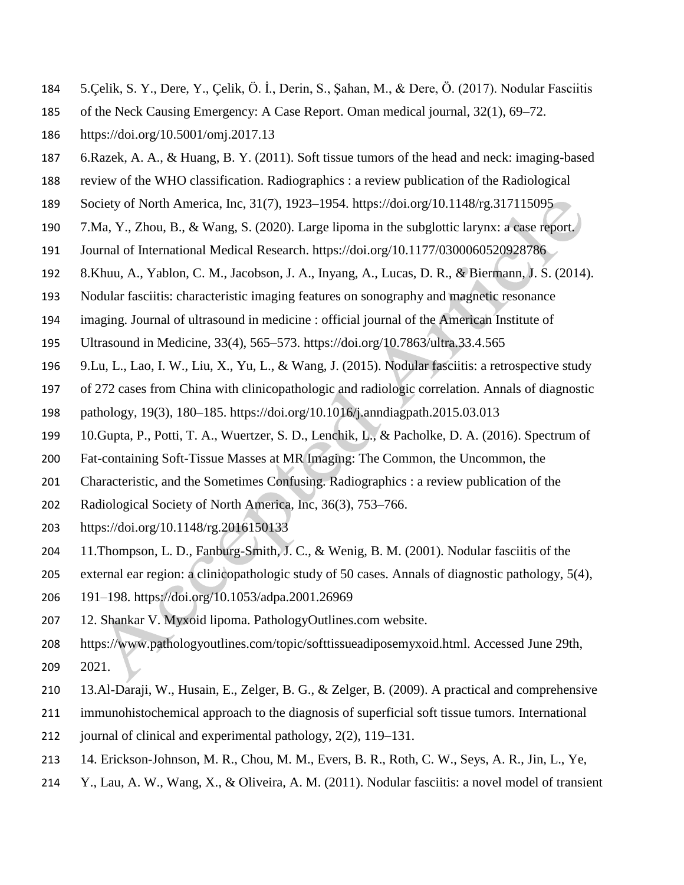- 5.Çelik, S. Y., Dere, Y., Çelik, Ö. İ., Derin, S., Şahan, M., & Dere, Ö. (2017). Nodular Fasciitis
- of the Neck Causing Emergency: A Case Report. Oman medical journal, 32(1), 69–72.
- https://doi.org/10.5001/omj.2017.13
- 6.Razek, A. A., & Huang, B. Y. (2011). Soft tissue tumors of the head and neck: imaging-based
- review of the WHO classification. Radiographics : a review publication of the Radiological
- Society of North America, Inc, 31(7), 1923–1954. https://doi.org/10.1148/rg.317115095
- 7.Ma, Y., Zhou, B., & Wang, S. (2020). Large lipoma in the subglottic larynx: a case report.
- Journal of International Medical Research. https://doi.org/10.1177/0300060520928786
- 8.Khuu, A., Yablon, C. M., Jacobson, J. A., Inyang, A., Lucas, D. R., & Biermann, J. S. (2014).
- Nodular fasciitis: characteristic imaging features on sonography and magnetic resonance
- imaging. Journal of ultrasound in medicine : official journal of the American Institute of
- Ultrasound in Medicine, 33(4), 565–573. https://doi.org/10.7863/ultra.33.4.565
- 9.Lu, L., Lao, I. W., Liu, X., Yu, L., & Wang, J. (2015). Nodular fasciitis: a retrospective study
- of 272 cases from China with clinicopathologic and radiologic correlation. Annals of diagnostic
- pathology, 19(3), 180–185. https://doi.org/10.1016/j.anndiagpath.2015.03.013
- 10.Gupta, P., Potti, T. A., Wuertzer, S. D., Lenchik, L., & Pacholke, D. A. (2016). Spectrum of
- Fat-containing Soft-Tissue Masses at MR Imaging: The Common, the Uncommon, the
- Characteristic, and the Sometimes Confusing. Radiographics : a review publication of the
- Radiological Society of North America, Inc, 36(3), 753–766.
- https://doi.org/10.1148/rg.2016150133
- 11.Thompson, L. D., Fanburg-Smith, J. C., & Wenig, B. M. (2001). Nodular fasciitis of the
- external ear region: a clinicopathologic study of 50 cases. Annals of diagnostic pathology, 5(4),
- 191–198. https://doi.org/10.1053/adpa.2001.26969
- 12. Shankar V. Myxoid lipoma. PathologyOutlines.com website.
- https://www.pathologyoutlines.com/topic/softtissueadiposemyxoid.html. Accessed June 29th, 2021.
- 13.Al-Daraji, W., Husain, E., Zelger, B. G., & Zelger, B. (2009). A practical and comprehensive
- immunohistochemical approach to the diagnosis of superficial soft tissue tumors. International
- journal of clinical and experimental pathology, 2(2), 119–131.
- 14. Erickson-Johnson, M. R., Chou, M. M., Evers, B. R., Roth, C. W., Seys, A. R., Jin, L., Ye,
- Y., Lau, A. W., Wang, X., & Oliveira, A. M. (2011). Nodular fasciitis: a novel model of transient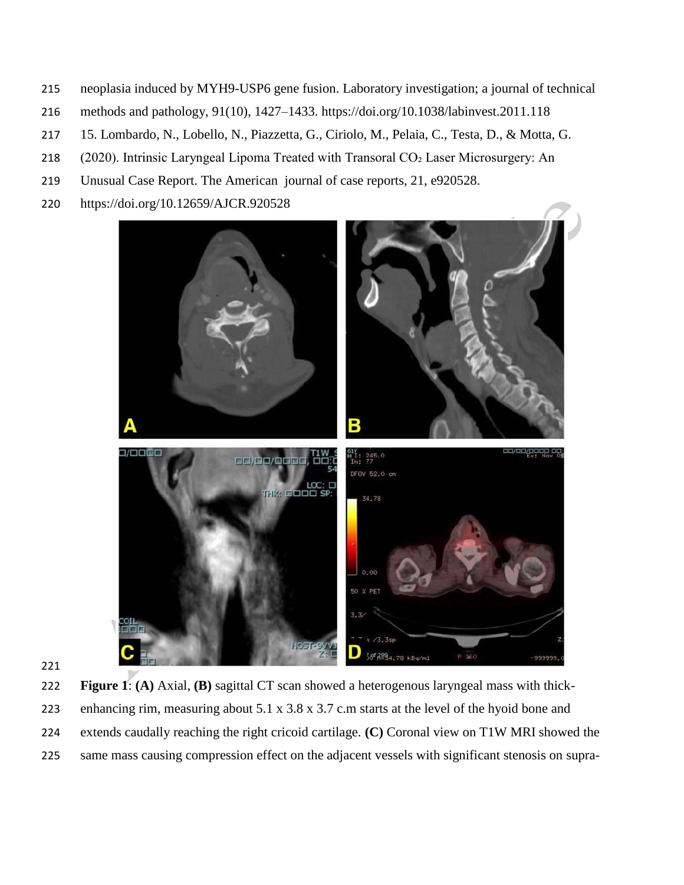- neoplasia induced by MYH9-USP6 gene fusion. Laboratory investigation; a journal of technical
- methods and pathology, 91(10), 1427–1433. https://doi.org/10.1038/labinvest.2011.118
- 15. Lombardo, N., Lobello, N., Piazzetta, G., Ciriolo, M., Pelaia, C., Testa, D., & Motta, G.
- 218 (2020). Intrinsic Laryngeal Lipoma Treated with Transoral CO<sub>2</sub> Laser Microsurgery: An
- Unusual Case Report. The American journal of case reports, 21, e920528.
- https://doi.org/10.12659/AJCR.920528





 **Figure 1**: **(A)** Axial, **(B)** sagittal CT scan showed a heterogenous laryngeal mass with thick- enhancing rim, measuring about 5.1 x 3.8 x 3.7 c.m starts at the level of the hyoid bone and extends caudally reaching the right cricoid cartilage. **(C)** Coronal view on T1W MRI showed the same mass causing compression effect on the adjacent vessels with significant stenosis on supra-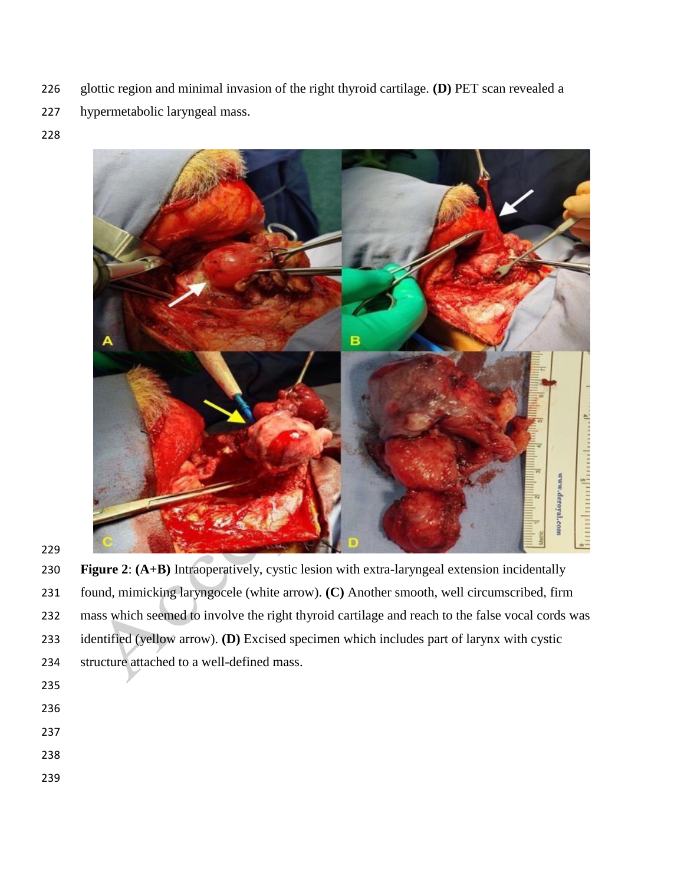- glottic region and minimal invasion of the right thyroid cartilage. **(D)** PET scan revealed a
- hypermetabolic laryngeal mass.
- 



 **Figure 2**: **(A+B)** Intraoperatively, cystic lesion with extra-laryngeal extension incidentally found, mimicking laryngocele (white arrow). **(C)** Another smooth, well circumscribed, firm mass which seemed to involve the right thyroid cartilage and reach to the false vocal cords was identified (yellow arrow). **(D)** Excised specimen which includes part of larynx with cystic structure attached to a well-defined mass.

- 
- 
- 
- 
-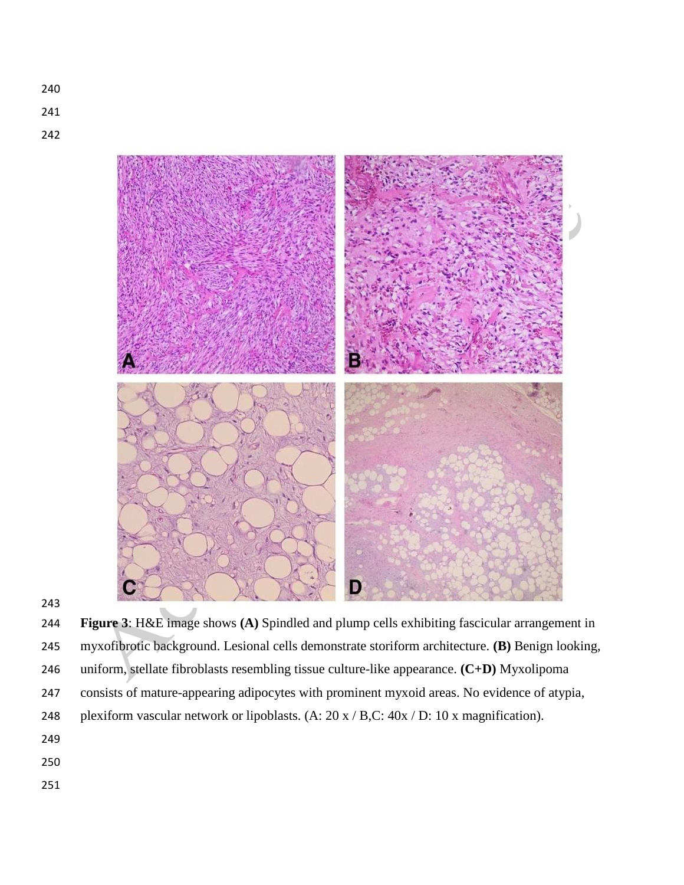



 **Figure 3**: H&E image shows **(A)** Spindled and plump cells exhibiting fascicular arrangement in myxofibrotic background. Lesional cells demonstrate storiform architecture. **(B)** Benign looking, uniform, stellate fibroblasts resembling tissue culture-like appearance. **(C+D)** Myxolipoma consists of mature-appearing adipocytes with prominent myxoid areas. No evidence of atypia, 248 plexiform vascular network or lipoblasts. (A: 20 x / B,C: 40x / D: 10 x magnification).

- 
- 
-